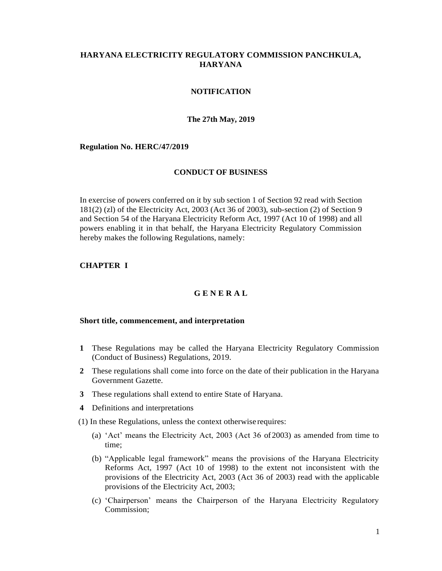# **HARYANA ELECTRICITY REGULATORY COMMISSION PANCHKULA, HARYANA**

# **NOTIFICATION**

### **The 27th May, 2019**

### **Regulation No. HERC/47/2019**

### **CONDUCT OF BUSINESS**

In exercise of powers conferred on it by sub section 1 of Section 92 read with Section 181(2) (zl) of the Electricity Act, 2003 (Act 36 of 2003), sub-section (2) of Section 9 and Section 54 of the Haryana Electricity Reform Act, 1997 (Act 10 of 1998) and all powers enabling it in that behalf, the Haryana Electricity Regulatory Commission hereby makes the following Regulations, namely:

# **CHAPTER I**

# **G E N E R A L**

### **Short title, commencement, and interpretation**

- **1** These Regulations may be called the Haryana Electricity Regulatory Commission (Conduct of Business) Regulations, 2019.
- **2** These regulations shall come into force on the date of their publication in the Haryana Government Gazette.
- **3** These regulations shall extend to entire State of Haryana.
- **4** Definitions and interpretations
- (1) In these Regulations, unless the context otherwise requires:
	- (a) 'Act' means the Electricity Act, 2003 (Act 36 of2003) as amended from time to time;
	- (b) "Applicable legal framework" means the provisions of the Haryana Electricity Reforms Act, 1997 (Act 10 of 1998) to the extent not inconsistent with the provisions of the Electricity Act, 2003 (Act 36 of 2003) read with the applicable provisions of the Electricity Act, 2003;
	- (c) 'Chairperson' means the Chairperson of the Haryana Electricity Regulatory Commission;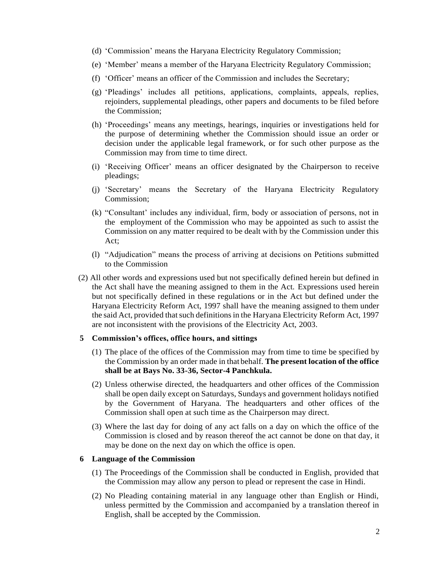- (d) 'Commission' means the Haryana Electricity Regulatory Commission;
- (e) 'Member' means a member of the Haryana Electricity Regulatory Commission;
- (f) 'Officer' means an officer of the Commission and includes the Secretary;
- (g) 'Pleadings' includes all petitions, applications, complaints, appeals, replies, rejoinders, supplemental pleadings, other papers and documents to be filed before the Commission;
- (h) 'Proceedings' means any meetings, hearings, inquiries or investigations held for the purpose of determining whether the Commission should issue an order or decision under the applicable legal framework, or for such other purpose as the Commission may from time to time direct.
- (i) 'Receiving Officer' means an officer designated by the Chairperson to receive pleadings;
- (j) 'Secretary' means the Secretary of the Haryana Electricity Regulatory Commission;
- (k) "Consultant' includes any individual, firm, body or association of persons, not in the employment of the Commission who may be appointed as such to assist the Commission on any matter required to be dealt with by the Commission under this Act;
- (l) "Adjudication" means the process of arriving at decisions on Petitions submitted to the Commission
- (2) All other words and expressions used but not specifically defined herein but defined in the Act shall have the meaning assigned to them in the Act. Expressions used herein but not specifically defined in these regulations or in the Act but defined under the Haryana Electricity Reform Act, 1997 shall have the meaning assigned to them under the said Act, provided that such definitions in the Haryana Electricity Reform Act, 1997 are not inconsistent with the provisions of the Electricity Act, 2003.

### **5 Commission's offices, office hours, and sittings**

- (1) The place of the offices of the Commission may from time to time be specified by the Commission by an order made in that behalf. **The present location of the office shall be at Bays No. 33-36, Sector-4 Panchkula.**
- (2) Unless otherwise directed, the headquarters and other offices of the Commission shall be open daily except on Saturdays, Sundays and government holidays notified by the Government of Haryana. The headquarters and other offices of the Commission shall open at such time as the Chairperson may direct.
- (3) Where the last day for doing of any act falls on a day on which the office of the Commission is closed and by reason thereof the act cannot be done on that day, it may be done on the next day on which the office is open.

### **6 Language of the Commission**

- (1) The Proceedings of the Commission shall be conducted in English, provided that the Commission may allow any person to plead or represent the case in Hindi.
- (2) No Pleading containing material in any language other than English or Hindi, unless permitted by the Commission and accompanied by a translation thereof in English, shall be accepted by the Commission.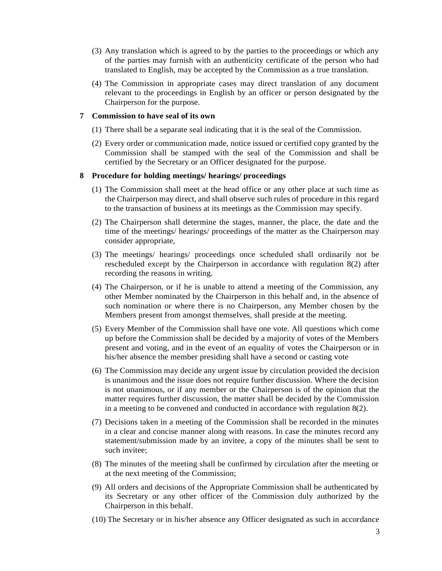- (3) Any translation which is agreed to by the parties to the proceedings or which any of the parties may furnish with an authenticity certificate of the person who had translated to English, may be accepted by the Commission as a true translation.
- (4) The Commission in appropriate cases may direct translation of any document relevant to the proceedings in English by an officer or person designated by the Chairperson for the purpose.

### **7 Commission to have seal of its own**

- (1) There shall be a separate seal indicating that it is the seal of the Commission.
- (2) Every order or communication made, notice issued or certified copy granted by the Commission shall be stamped with the seal of the Commission and shall be certified by the Secretary or an Officer designated for the purpose.

### **8 Procedure for holding meetings/ hearings/ proceedings**

- (1) The Commission shall meet at the head office or any other place at such time as the Chairperson may direct, and shall observe such rules of procedure in this regard to the transaction of business at its meetings as the Commission may specify.
- (2) The Chairperson shall determine the stages, manner, the place, the date and the time of the meetings/ hearings/ proceedings of the matter as the Chairperson may consider appropriate,
- (3) The meetings/ hearings/ proceedings once scheduled shall ordinarily not be rescheduled except by the Chairperson in accordance with regulation 8(2) after recording the reasons in writing.
- (4) The Chairperson, or if he is unable to attend a meeting of the Commission, any other Member nominated by the Chairperson in this behalf and, in the absence of such nomination or where there is no Chairperson, any Member chosen by the Members present from amongst themselves, shall preside at the meeting.
- (5) Every Member of the Commission shall have one vote. All questions which come up before the Commission shall be decided by a majority of votes of the Members present and voting, and in the event of an equality of votes the Chairperson or in his/her absence the member presiding shall have a second or casting vote
- (6) The Commission may decide any urgent issue by circulation provided the decision is unanimous and the issue does not require further discussion. Where the decision is not unanimous, or if any member or the Chairperson is of the opinion that the matter requires further discussion, the matter shall be decided by the Commission in a meeting to be convened and conducted in accordance with regulation 8(2).
- (7) Decisions taken in a meeting of the Commission shall be recorded in the minutes in a clear and concise manner along with reasons. In case the minutes record any statement/submission made by an invitee, a copy of the minutes shall be sent to such invitee;
- (8) The minutes of the meeting shall be confirmed by circulation after the meeting or at the next meeting of the Commission;
- (9) All orders and decisions of the Appropriate Commission shall be authenticated by its Secretary or any other officer of the Commission duly authorized by the Chairperson in this behalf.
- (10) The Secretary or in his/her absence any Officer designated as such in accordance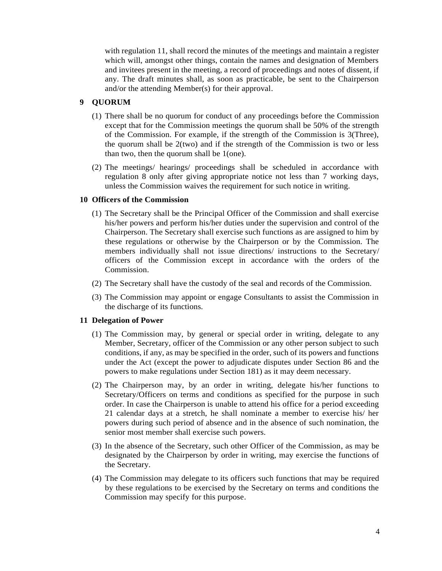with regulation 11, shall record the minutes of the meetings and maintain a register which will, amongst other things, contain the names and designation of Members and invitees present in the meeting, a record of proceedings and notes of dissent, if any. The draft minutes shall, as soon as practicable, be sent to the Chairperson and/or the attending Member(s) for their approval.

# **9 QUORUM**

- (1) There shall be no quorum for conduct of any proceedings before the Commission except that for the Commission meetings the quorum shall be 50% of the strength of the Commission. For example, if the strength of the Commission is 3(Three), the quorum shall be  $2(two)$  and if the strength of the Commission is two or less than two, then the quorum shall be 1(one).
- (2) The meetings/ hearings/ proceedings shall be scheduled in accordance with regulation 8 only after giving appropriate notice not less than 7 working days, unless the Commission waives the requirement for such notice in writing.

# **10 Officers of the Commission**

- (1) The Secretary shall be the Principal Officer of the Commission and shall exercise his/her powers and perform his/her duties under the supervision and control of the Chairperson. The Secretary shall exercise such functions as are assigned to him by these regulations or otherwise by the Chairperson or by the Commission. The members individually shall not issue directions/ instructions to the Secretary/ officers of the Commission except in accordance with the orders of the Commission.
- (2) The Secretary shall have the custody of the seal and records of the Commission.
- (3) The Commission may appoint or engage Consultants to assist the Commission in the discharge of its functions.

# **11 Delegation of Power**

- (1) The Commission may, by general or special order in writing, delegate to any Member, Secretary, officer of the Commission or any other person subject to such conditions, if any, as may be specified in the order, such of its powers and functions under the Act (except the power to adjudicate disputes under Section 86 and the powers to make regulations under Section 181) as it may deem necessary.
- (2) The Chairperson may, by an order in writing, delegate his/her functions to Secretary/Officers on terms and conditions as specified for the purpose in such order. In case the Chairperson is unable to attend his office for a period exceeding 21 calendar days at a stretch, he shall nominate a member to exercise his/ her powers during such period of absence and in the absence of such nomination, the senior most member shall exercise such powers.
- (3) In the absence of the Secretary, such other Officer of the Commission, as may be designated by the Chairperson by order in writing, may exercise the functions of the Secretary.
- (4) The Commission may delegate to its officers such functions that may be required by these regulations to be exercised by the Secretary on terms and conditions the Commission may specify for this purpose.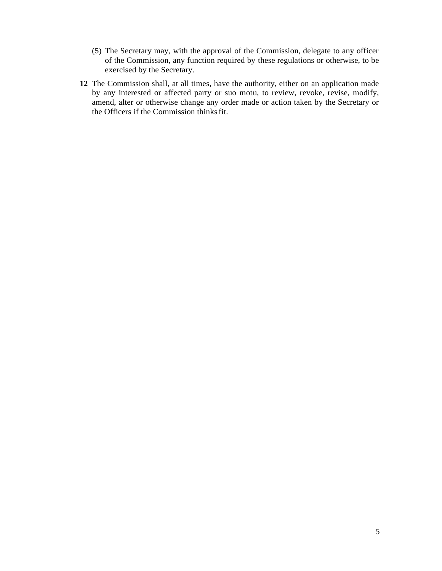- (5) The Secretary may, with the approval of the Commission, delegate to any officer of the Commission, any function required by these regulations or otherwise, to be exercised by the Secretary.
- **12** The Commission shall, at all times, have the authority, either on an application made by any interested or affected party or suo motu, to review, revoke, revise, modify, amend, alter or otherwise change any order made or action taken by the Secretary or the Officers if the Commission thinksfit.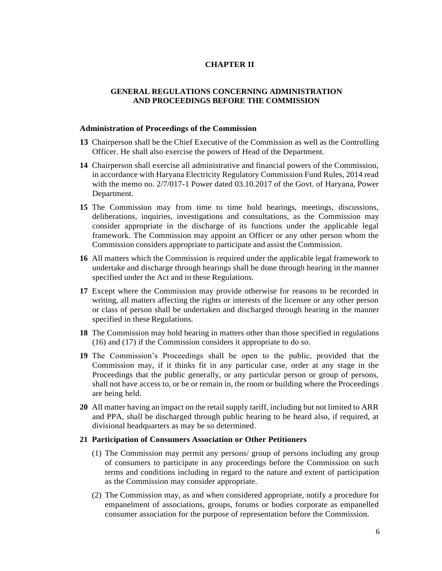# **CHAPTER II**

# **GENERAL REGULATIONS CONCERNING ADMINISTRATION AND PROCEEDINGS BEFORE THE COMMISSION**

### **Administration of Proceedings of the Commission**

- **13** Chairperson shall be the Chief Executive of the Commission as well as the Controlling Officer. He shall also exercise the powers of Head of the Department.
- **14** Chairperson shall exercise all administrative and financial powers of the Commission, in accordance with Haryana Electricity Regulatory Commission Fund Rules, 2014 read with the memo no. 2/7/017-1 Power dated 03.10.2017 of the Govt. of Haryana, Power Department.
- **15** The Commission may from time to time hold hearings, meetings, discussions, deliberations, inquiries, investigations and consultations, as the Commission may consider appropriate in the discharge of its functions under the applicable legal framework. The Commission may appoint an Officer or any other person whom the Commission considers appropriate to participate and assist the Commission.
- **16** All matters which the Commission is required under the applicable legal framework to undertake and discharge through hearings shall be done through hearing in the manner specified under the Act and in these Regulations.
- **17** Except where the Commission may provide otherwise for reasons to be recorded in writing, all matters affecting the rights or interests of the licensee or any other person or class of person shall be undertaken and discharged through hearing in the manner specified in these Regulations.
- **18** The Commission may hold hearing in matters other than those specified in regulations (16) and (17) if the Commission considers it appropriate to do so.
- **19** The Commission's Proceedings shall be open to the public, provided that the Commission may, if it thinks fit in any particular case, order at any stage in the Proceedings that the public generally, or any particular person or group of persons, shall not have access to, or be or remain in, the room or building where the Proceedings are being held.
- **20** All matter having an impact on the retail supply tariff, including but not limited to ARR and PPA, shall be discharged through public hearing to be heard also, if required, at divisional headquarters as may be so determined.

### **21 Participation of Consumers Association or Other Petitioners**

- (1) The Commission may permit any persons/ group of persons including any group of consumers to participate in any proceedings before the Commission on such terms and conditions including in regard to the nature and extent of participation as the Commission may consider appropriate.
- (2) The Commission may, as and when considered appropriate, notify a procedure for empanelment of associations, groups, forums or bodies corporate as empanelled consumer association for the purpose of representation before the Commission.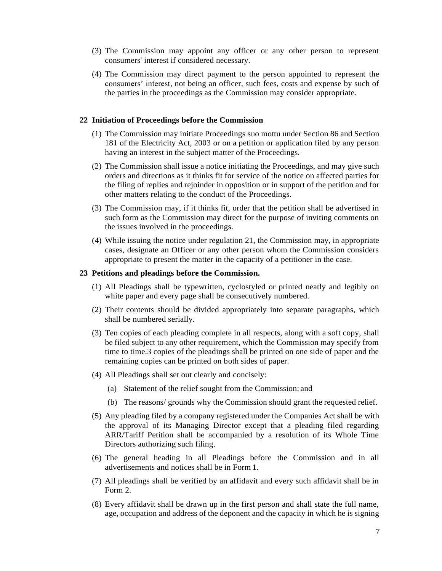- (3) The Commission may appoint any officer or any other person to represent consumers' interest if considered necessary.
- (4) The Commission may direct payment to the person appointed to represent the consumers' interest, not being an officer, such fees, costs and expense by such of the parties in the proceedings as the Commission may consider appropriate.

### **22 Initiation of Proceedings before the Commission**

- (1) The Commission may initiate Proceedings suo mottu under Section 86 and Section 181 of the Electricity Act, 2003 or on a petition or application filed by any person having an interest in the subject matter of the Proceedings.
- (2) The Commission shall issue a notice initiating the Proceedings, and may give such orders and directions as it thinks fit for service of the notice on affected parties for the filing of replies and rejoinder in opposition or in support of the petition and for other matters relating to the conduct of the Proceedings.
- (3) The Commission may, if it thinks fit, order that the petition shall be advertised in such form as the Commission may direct for the purpose of inviting comments on the issues involved in the proceedings.
- (4) While issuing the notice under regulation 21, the Commission may, in appropriate cases, designate an Officer or any other person whom the Commission considers appropriate to present the matter in the capacity of a petitioner in the case.

# **23 Petitions and pleadings before the Commission.**

- (1) All Pleadings shall be typewritten, cyclostyled or printed neatly and legibly on white paper and every page shall be consecutively numbered.
- (2) Their contents should be divided appropriately into separate paragraphs, which shall be numbered serially.
- (3) Ten copies of each pleading complete in all respects, along with a soft copy, shall be filed subject to any other requirement, which the Commission may specify from time to time.3 copies of the pleadings shall be printed on one side of paper and the remaining copies can be printed on both sides of paper.
- (4) All Pleadings shall set out clearly and concisely:
	- (a) Statement of the relief sought from the Commission; and
	- (b) The reasons/ grounds why the Commission should grant the requested relief.
- (5) Any pleading filed by a company registered under the Companies Act shall be with the approval of its Managing Director except that a pleading filed regarding ARR/Tariff Petition shall be accompanied by a resolution of its Whole Time Directors authorizing such filing.
- (6) The general heading in all Pleadings before the Commission and in all advertisements and notices shall be in Form 1.
- (7) All pleadings shall be verified by an affidavit and every such affidavit shall be in Form 2.
- (8) Every affidavit shall be drawn up in the first person and shall state the full name, age, occupation and address of the deponent and the capacity in which he is signing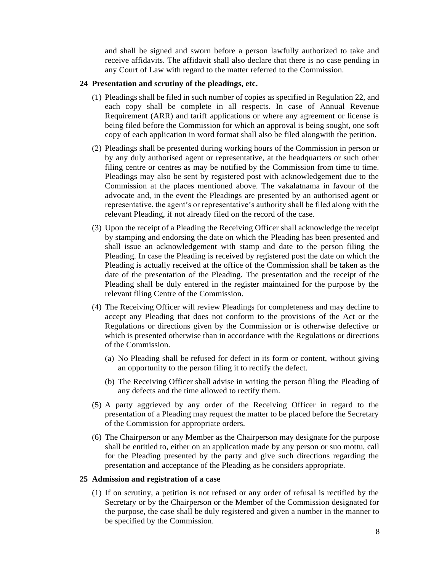and shall be signed and sworn before a person lawfully authorized to take and receive affidavits. The affidavit shall also declare that there is no case pending in any Court of Law with regard to the matter referred to the Commission.

# **24 Presentation and scrutiny of the pleadings, etc.**

- (1) Pleadings shall be filed in such number of copies as specified in Regulation 22, and each copy shall be complete in all respects. In case of Annual Revenue Requirement (ARR) and tariff applications or where any agreement or license is being filed before the Commission for which an approval is being sought, one soft copy of each application in word format shall also be filed alongwith the petition.
- (2) Pleadings shall be presented during working hours of the Commission in person or by any duly authorised agent or representative, at the headquarters or such other filing centre or centres as may be notified by the Commission from time to time. Pleadings may also be sent by registered post with acknowledgement due to the Commission at the places mentioned above. The vakalatnama in favour of the advocate and, in the event the Pleadings are presented by an authorised agent or representative, the agent's or representative's authority shall be filed along with the relevant Pleading, if not already filed on the record of the case.
- (3) Upon the receipt of a Pleading the Receiving Officer shall acknowledge the receipt by stamping and endorsing the date on which the Pleading has been presented and shall issue an acknowledgement with stamp and date to the person filing the Pleading. In case the Pleading is received by registered post the date on which the Pleading is actually received at the office of the Commission shall be taken as the date of the presentation of the Pleading. The presentation and the receipt of the Pleading shall be duly entered in the register maintained for the purpose by the relevant filing Centre of the Commission.
- (4) The Receiving Officer will review Pleadings for completeness and may decline to accept any Pleading that does not conform to the provisions of the Act or the Regulations or directions given by the Commission or is otherwise defective or which is presented otherwise than in accordance with the Regulations or directions of the Commission.
	- (a) No Pleading shall be refused for defect in its form or content, without giving an opportunity to the person filing it to rectify the defect.
	- (b) The Receiving Officer shall advise in writing the person filing the Pleading of any defects and the time allowed to rectify them.
- (5) A party aggrieved by any order of the Receiving Officer in regard to the presentation of a Pleading may request the matter to be placed before the Secretary of the Commission for appropriate orders.
- (6) The Chairperson or any Member as the Chairperson may designate for the purpose shall be entitled to, either on an application made by any person or suo mottu, call for the Pleading presented by the party and give such directions regarding the presentation and acceptance of the Pleading as he considers appropriate.

### **25 Admission and registration of a case**

(1) If on scrutiny, a petition is not refused or any order of refusal is rectified by the Secretary or by the Chairperson or the Member of the Commission designated for the purpose, the case shall be duly registered and given a number in the manner to be specified by the Commission.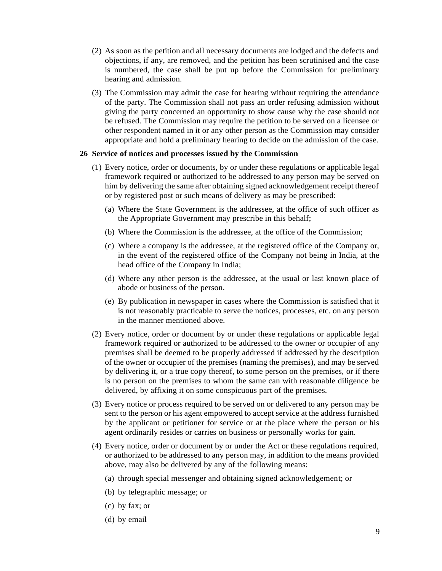- (2) As soon as the petition and all necessary documents are lodged and the defects and objections, if any, are removed, and the petition has been scrutinised and the case is numbered, the case shall be put up before the Commission for preliminary hearing and admission.
- (3) The Commission may admit the case for hearing without requiring the attendance of the party. The Commission shall not pass an order refusing admission without giving the party concerned an opportunity to show cause why the case should not be refused. The Commission may require the petition to be served on a licensee or other respondent named in it or any other person as the Commission may consider appropriate and hold a preliminary hearing to decide on the admission of the case.

### **26 Service of notices and processes issued by the Commission**

- (1) Every notice, order or documents, by or under these regulations or applicable legal framework required or authorized to be addressed to any person may be served on him by delivering the same after obtaining signed acknowledgement receipt thereof or by registered post or such means of delivery as may be prescribed:
	- (a) Where the State Government is the addressee, at the office of such officer as the Appropriate Government may prescribe in this behalf;
	- (b) Where the Commission is the addressee, at the office of the Commission;
	- (c) Where a company is the addressee, at the registered office of the Company or, in the event of the registered office of the Company not being in India, at the head office of the Company in India;
	- (d) Where any other person is the addressee, at the usual or last known place of abode or business of the person.
	- (e) By publication in newspaper in cases where the Commission is satisfied that it is not reasonably practicable to serve the notices, processes, etc. on any person in the manner mentioned above.
- (2) Every notice, order or document by or under these regulations or applicable legal framework required or authorized to be addressed to the owner or occupier of any premises shall be deemed to be properly addressed if addressed by the description of the owner or occupier of the premises (naming the premises), and may be served by delivering it, or a true copy thereof, to some person on the premises, or if there is no person on the premises to whom the same can with reasonable diligence be delivered, by affixing it on some conspicuous part of the premises.
- (3) Every notice or process required to be served on or delivered to any person may be sent to the person or his agent empowered to accept service at the address furnished by the applicant or petitioner for service or at the place where the person or his agent ordinarily resides or carries on business or personally works for gain.
- (4) Every notice, order or document by or under the Act or these regulations required, or authorized to be addressed to any person may, in addition to the means provided above, may also be delivered by any of the following means:
	- (a) through special messenger and obtaining signed acknowledgement; or
	- (b) by telegraphic message; or
	- (c) by fax; or
	- (d) by email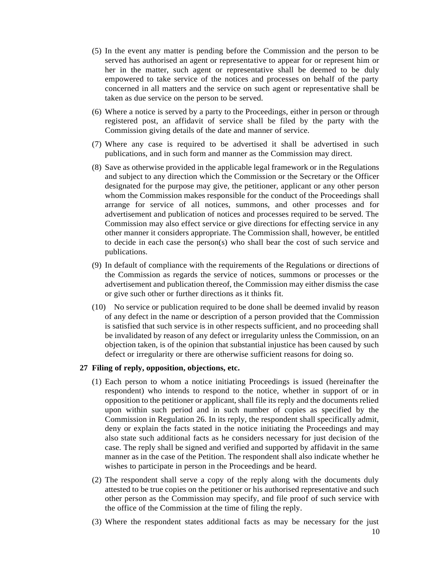- (5) In the event any matter is pending before the Commission and the person to be served has authorised an agent or representative to appear for or represent him or her in the matter, such agent or representative shall be deemed to be duly empowered to take service of the notices and processes on behalf of the party concerned in all matters and the service on such agent or representative shall be taken as due service on the person to be served.
- (6) Where a notice is served by a party to the Proceedings, either in person or through registered post, an affidavit of service shall be filed by the party with the Commission giving details of the date and manner of service.
- (7) Where any case is required to be advertised it shall be advertised in such publications, and in such form and manner as the Commission may direct.
- (8) Save as otherwise provided in the applicable legal framework or in the Regulations and subject to any direction which the Commission or the Secretary or the Officer designated for the purpose may give, the petitioner, applicant or any other person whom the Commission makes responsible for the conduct of the Proceedings shall arrange for service of all notices, summons, and other processes and for advertisement and publication of notices and processes required to be served. The Commission may also effect service or give directions for effecting service in any other manner it considers appropriate. The Commission shall, however, be entitled to decide in each case the person(s) who shall bear the cost of such service and publications.
- (9) In default of compliance with the requirements of the Regulations or directions of the Commission as regards the service of notices, summons or processes or the advertisement and publication thereof, the Commission may either dismiss the case or give such other or further directions as it thinks fit.
- (10) No service or publication required to be done shall be deemed invalid by reason of any defect in the name or description of a person provided that the Commission is satisfied that such service is in other respects sufficient, and no proceeding shall be invalidated by reason of any defect or irregularity unless the Commission, on an objection taken, is of the opinion that substantial injustice has been caused by such defect or irregularity or there are otherwise sufficient reasons for doing so.

### **27 Filing of reply, opposition, objections, etc.**

- (1) Each person to whom a notice initiating Proceedings is issued (hereinafter the respondent) who intends to respond to the notice, whether in support of or in opposition to the petitioner or applicant, shall file its reply and the documents relied upon within such period and in such number of copies as specified by the Commission in Regulation 26. In its reply, the respondent shall specifically admit, deny or explain the facts stated in the notice initiating the Proceedings and may also state such additional facts as he considers necessary for just decision of the case. The reply shall be signed and verified and supported by affidavit in the same manner as in the case of the Petition. The respondent shall also indicate whether he wishes to participate in person in the Proceedings and be heard.
- (2) The respondent shall serve a copy of the reply along with the documents duly attested to be true copies on the petitioner or his authorised representative and such other person as the Commission may specify, and file proof of such service with the office of the Commission at the time of filing the reply.
- (3) Where the respondent states additional facts as may be necessary for the just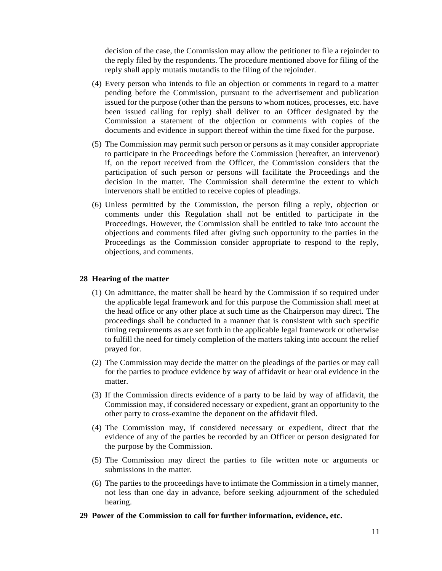decision of the case, the Commission may allow the petitioner to file a rejoinder to the reply filed by the respondents. The procedure mentioned above for filing of the reply shall apply mutatis mutandis to the filing of the rejoinder.

- (4) Every person who intends to file an objection or comments in regard to a matter pending before the Commission, pursuant to the advertisement and publication issued for the purpose (other than the persons to whom notices, processes, etc. have been issued calling for reply) shall deliver to an Officer designated by the Commission a statement of the objection or comments with copies of the documents and evidence in support thereof within the time fixed for the purpose.
- (5) The Commission may permit such person or persons as it may consider appropriate to participate in the Proceedings before the Commission (hereafter, an intervenor) if, on the report received from the Officer, the Commission considers that the participation of such person or persons will facilitate the Proceedings and the decision in the matter. The Commission shall determine the extent to which intervenors shall be entitled to receive copies of pleadings.
- (6) Unless permitted by the Commission, the person filing a reply, objection or comments under this Regulation shall not be entitled to participate in the Proceedings. However, the Commission shall be entitled to take into account the objections and comments filed after giving such opportunity to the parties in the Proceedings as the Commission consider appropriate to respond to the reply, objections, and comments.

### **28 Hearing of the matter**

- (1) On admittance, the matter shall be heard by the Commission if so required under the applicable legal framework and for this purpose the Commission shall meet at the head office or any other place at such time as the Chairperson may direct. The proceedings shall be conducted in a manner that is consistent with such specific timing requirements as are set forth in the applicable legal framework or otherwise to fulfill the need for timely completion of the matters taking into account the relief prayed for.
- (2) The Commission may decide the matter on the pleadings of the parties or may call for the parties to produce evidence by way of affidavit or hear oral evidence in the matter.
- (3) If the Commission directs evidence of a party to be laid by way of affidavit, the Commission may, if considered necessary or expedient, grant an opportunity to the other party to cross-examine the deponent on the affidavit filed.
- (4) The Commission may, if considered necessary or expedient, direct that the evidence of any of the parties be recorded by an Officer or person designated for the purpose by the Commission.
- (5) The Commission may direct the parties to file written note or arguments or submissions in the matter.
- (6) The parties to the proceedings have to intimate the Commission in a timely manner, not less than one day in advance, before seeking adjournment of the scheduled hearing.
- **29 Power of the Commission to call for further information, evidence, etc.**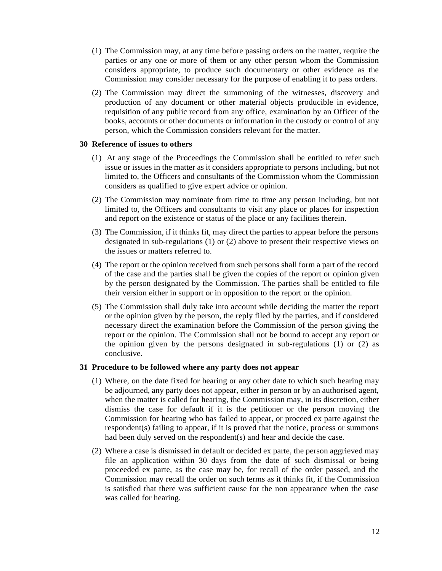- (1) The Commission may, at any time before passing orders on the matter, require the parties or any one or more of them or any other person whom the Commission considers appropriate, to produce such documentary or other evidence as the Commission may consider necessary for the purpose of enabling it to pass orders.
- (2) The Commission may direct the summoning of the witnesses, discovery and production of any document or other material objects producible in evidence, requisition of any public record from any office, examination by an Officer of the books, accounts or other documents or information in the custody or control of any person, which the Commission considers relevant for the matter.

### **30 Reference of issues to others**

- (1) At any stage of the Proceedings the Commission shall be entitled to refer such issue or issues in the matter as it considers appropriate to persons including, but not limited to, the Officers and consultants of the Commission whom the Commission considers as qualified to give expert advice or opinion.
- (2) The Commission may nominate from time to time any person including, but not limited to, the Officers and consultants to visit any place or places for inspection and report on the existence or status of the place or any facilities therein.
- (3) The Commission, if it thinks fit, may direct the parties to appear before the persons designated in sub-regulations (1) or (2) above to present their respective views on the issues or matters referred to.
- (4) The report or the opinion received from such persons shall form a part of the record of the case and the parties shall be given the copies of the report or opinion given by the person designated by the Commission. The parties shall be entitled to file their version either in support or in opposition to the report or the opinion.
- (5) The Commission shall duly take into account while deciding the matter the report or the opinion given by the person, the reply filed by the parties, and if considered necessary direct the examination before the Commission of the person giving the report or the opinion. The Commission shall not be bound to accept any report or the opinion given by the persons designated in sub-regulations (1) or (2) as conclusive.

# **31 Procedure to be followed where any party does not appear**

- (1) Where, on the date fixed for hearing or any other date to which such hearing may be adjourned, any party does not appear, either in person or by an authorised agent, when the matter is called for hearing, the Commission may, in its discretion, either dismiss the case for default if it is the petitioner or the person moving the Commission for hearing who has failed to appear, or proceed ex parte against the respondent(s) failing to appear, if it is proved that the notice, process or summons had been duly served on the respondent(s) and hear and decide the case.
- (2) Where a case is dismissed in default or decided ex parte, the person aggrieved may file an application within 30 days from the date of such dismissal or being proceeded ex parte, as the case may be, for recall of the order passed, and the Commission may recall the order on such terms as it thinks fit, if the Commission is satisfied that there was sufficient cause for the non appearance when the case was called for hearing.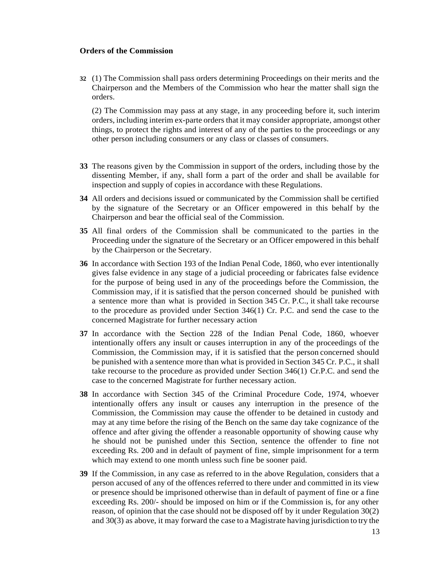### **Orders of the Commission**

**32** (1) The Commission shall pass orders determining Proceedings on their merits and the Chairperson and the Members of the Commission who hear the matter shall sign the orders.

(2) The Commission may pass at any stage, in any proceeding before it, such interim orders, including interim ex-parte orders that it may consider appropriate, amongst other things, to protect the rights and interest of any of the parties to the proceedings or any other person including consumers or any class or classes of consumers.

- **33** The reasons given by the Commission in support of the orders, including those by the dissenting Member, if any, shall form a part of the order and shall be available for inspection and supply of copies in accordance with these Regulations.
- **34** All orders and decisions issued or communicated by the Commission shall be certified by the signature of the Secretary or an Officer empowered in this behalf by the Chairperson and bear the official seal of the Commission.
- **35** All final orders of the Commission shall be communicated to the parties in the Proceeding under the signature of the Secretary or an Officer empowered in this behalf by the Chairperson or the Secretary.
- **36** In accordance with Section 193 of the Indian Penal Code, 1860, who ever intentionally gives false evidence in any stage of a judicial proceeding or fabricates false evidence for the purpose of being used in any of the proceedings before the Commission, the Commission may, if it is satisfied that the person concerned should be punished with a sentence more than what is provided in Section 345 Cr. P.C., it shall take recourse to the procedure as provided under Section 346(1) Cr. P.C. and send the case to the concerned Magistrate for further necessary action
- **37** In accordance with the Section 228 of the Indian Penal Code, 1860, whoever intentionally offers any insult or causes interruption in any of the proceedings of the Commission, the Commission may, if it is satisfied that the person concerned should be punished with a sentence more than what is provided in Section 345 Cr. P.C., it shall take recourse to the procedure as provided under Section 346(1) Cr.P.C. and send the case to the concerned Magistrate for further necessary action.
- **38** In accordance with Section 345 of the Criminal Procedure Code, 1974, whoever intentionally offers any insult or causes any interruption in the presence of the Commission, the Commission may cause the offender to be detained in custody and may at any time before the rising of the Bench on the same day take cognizance of the offence and after giving the offender a reasonable opportunity of showing cause why he should not be punished under this Section, sentence the offender to fine not exceeding Rs. 200 and in default of payment of fine, simple imprisonment for a term which may extend to one month unless such fine be sooner paid.
- **39** If the Commission, in any case as referred to in the above Regulation, considers that a person accused of any of the offences referred to there under and committed in its view or presence should be imprisoned otherwise than in default of payment of fine or a fine exceeding Rs. 200/- should be imposed on him or if the Commission is, for any other reason, of opinion that the case should not be disposed off by it under Regulation 30(2) and 30(3) as above, it may forward the case to a Magistrate having jurisdiction to try the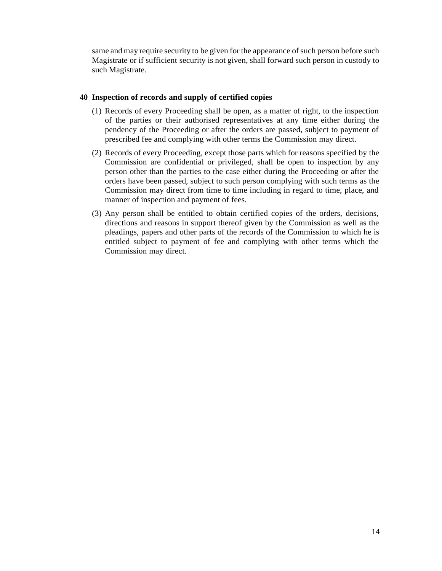same and may require security to be given for the appearance of such person before such Magistrate or if sufficient security is not given, shall forward such person in custody to such Magistrate.

# **40 Inspection of records and supply of certified copies**

- (1) Records of every Proceeding shall be open, as a matter of right, to the inspection of the parties or their authorised representatives at any time either during the pendency of the Proceeding or after the orders are passed, subject to payment of prescribed fee and complying with other terms the Commission may direct.
- (2) Records of every Proceeding, except those parts which for reasons specified by the Commission are confidential or privileged, shall be open to inspection by any person other than the parties to the case either during the Proceeding or after the orders have been passed, subject to such person complying with such terms as the Commission may direct from time to time including in regard to time, place, and manner of inspection and payment of fees.
- (3) Any person shall be entitled to obtain certified copies of the orders, decisions, directions and reasons in support thereof given by the Commission as well as the pleadings, papers and other parts of the records of the Commission to which he is entitled subject to payment of fee and complying with other terms which the Commission may direct.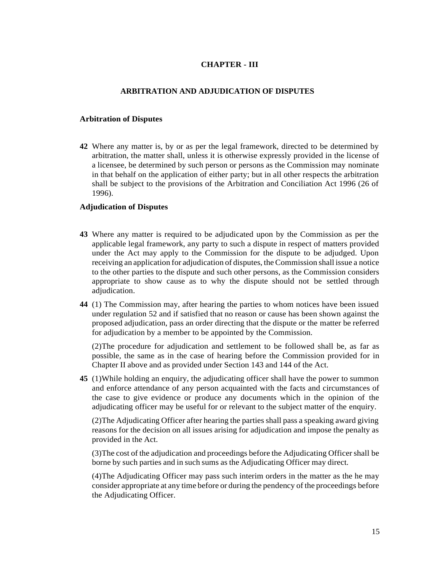# **CHAPTER - III**

# **ARBITRATION AND ADJUDICATION OF DISPUTES**

### **Arbitration of Disputes**

**42** Where any matter is, by or as per the legal framework, directed to be determined by arbitration, the matter shall, unless it is otherwise expressly provided in the license of a licensee, be determined by such person or persons as the Commission may nominate in that behalf on the application of either party; but in all other respects the arbitration shall be subject to the provisions of the Arbitration and Conciliation Act 1996 (26 of 1996).

# **Adjudication of Disputes**

- **43** Where any matter is required to be adjudicated upon by the Commission as per the applicable legal framework, any party to such a dispute in respect of matters provided under the Act may apply to the Commission for the dispute to be adjudged. Upon receiving an application for adjudication of disputes, theCommission shall issue a notice to the other parties to the dispute and such other persons, as the Commission considers appropriate to show cause as to why the dispute should not be settled through adjudication.
- **44** (1) The Commission may, after hearing the parties to whom notices have been issued under regulation 52 and if satisfied that no reason or cause has been shown against the proposed adjudication, pass an order directing that the dispute or the matter be referred for adjudication by a member to be appointed by the Commission.

(2)The procedure for adjudication and settlement to be followed shall be, as far as possible, the same as in the case of hearing before the Commission provided for in Chapter II above and as provided under Section 143 and 144 of the Act.

**45** (1)While holding an enquiry, the adjudicating officer shall have the power to summon and enforce attendance of any person acquainted with the facts and circumstances of the case to give evidence or produce any documents which in the opinion of the adjudicating officer may be useful for or relevant to the subject matter of the enquiry.

(2)The Adjudicating Officer after hearing the parties shall pass a speaking award giving reasons for the decision on all issues arising for adjudication and impose the penalty as provided in the Act.

(3)The cost of the adjudication and proceedings before the Adjudicating Officershall be borne by such parties and in such sums as the Adjudicating Officer may direct.

(4)The Adjudicating Officer may pass such interim orders in the matter as the he may consider appropriate at any time before or during the pendency of the proceedings before the Adjudicating Officer.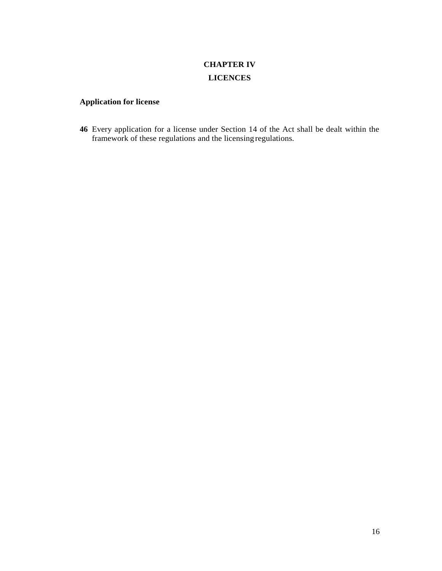# **CHAPTER IV LICENCES**

# **Application for license**

**46** Every application for a license under Section 14 of the Act shall be dealt within the framework of these regulations and the licensing regulations.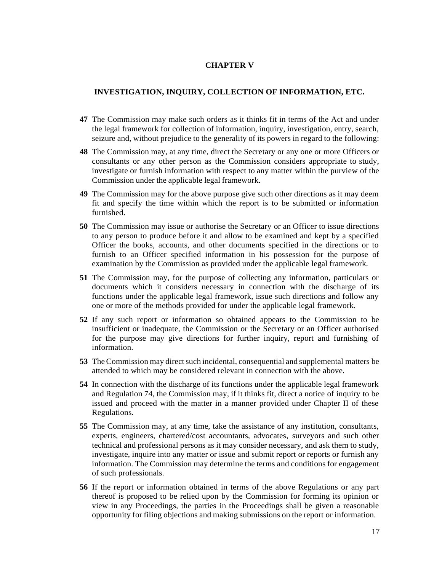### **CHAPTER V**

# **INVESTIGATION, INQUIRY, COLLECTION OF INFORMATION, ETC.**

- **47** The Commission may make such orders as it thinks fit in terms of the Act and under the legal framework for collection of information, inquiry, investigation, entry, search, seizure and, without prejudice to the generality of its powers in regard to the following:
- **48** The Commission may, at any time, direct the Secretary or any one or more Officers or consultants or any other person as the Commission considers appropriate to study, investigate or furnish information with respect to any matter within the purview of the Commission under the applicable legal framework.
- **49** The Commission may for the above purpose give such other directions as it may deem fit and specify the time within which the report is to be submitted or information furnished.
- **50** The Commission may issue or authorise the Secretary or an Officer to issue directions to any person to produce before it and allow to be examined and kept by a specified Officer the books, accounts, and other documents specified in the directions or to furnish to an Officer specified information in his possession for the purpose of examination by the Commission as provided under the applicable legal framework.
- **51** The Commission may, for the purpose of collecting any information, particulars or documents which it considers necessary in connection with the discharge of its functions under the applicable legal framework, issue such directions and follow any one or more of the methods provided for under the applicable legal framework.
- **52** If any such report or information so obtained appears to the Commission to be insufficient or inadequate, the Commission or the Secretary or an Officer authorised for the purpose may give directions for further inquiry, report and furnishing of information.
- **53** The Commission may direct such incidental, consequential and supplemental matters be attended to which may be considered relevant in connection with the above.
- **54** In connection with the discharge of its functions under the applicable legal framework and Regulation 74, the Commission may, if it thinks fit, direct a notice of inquiry to be issued and proceed with the matter in a manner provided under Chapter II of these Regulations.
- **55** The Commission may, at any time, take the assistance of any institution, consultants, experts, engineers, chartered/cost accountants, advocates, surveyors and such other technical and professional persons as it may consider necessary, and ask them to study, investigate, inquire into any matter or issue and submit report or reports or furnish any information. The Commission may determine the terms and conditions for engagement of such professionals.
- **56** If the report or information obtained in terms of the above Regulations or any part thereof is proposed to be relied upon by the Commission for forming its opinion or view in any Proceedings, the parties in the Proceedings shall be given a reasonable opportunity for filing objections and making submissions on the report or information.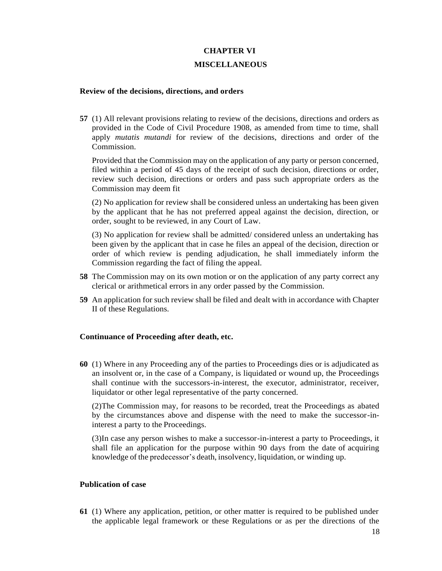### **CHAPTER VI**

### **MISCELLANEOUS**

# **Review of the decisions, directions, and orders**

**57** (1) All relevant provisions relating to review of the decisions, directions and orders as provided in the Code of Civil Procedure 1908, as amended from time to time, shall apply *mutatis mutandi* for review of the decisions, directions and order of the Commission.

Provided that the Commission may on the application of any party or person concerned, filed within a period of 45 days of the receipt of such decision, directions or order, review such decision, directions or orders and pass such appropriate orders as the Commission may deem fit

(2) No application for review shall be considered unless an undertaking has been given by the applicant that he has not preferred appeal against the decision, direction, or order, sought to be reviewed, in any Court of Law.

(3) No application for review shall be admitted/ considered unless an undertaking has been given by the applicant that in case he files an appeal of the decision, direction or order of which review is pending adjudication, he shall immediately inform the Commission regarding the fact of filing the appeal.

- **58** The Commission may on its own motion or on the application of any party correct any clerical or arithmetical errors in any order passed by the Commission.
- **59** An application for such review shall be filed and dealt with in accordance with Chapter II of these Regulations.

# **Continuance of Proceeding after death, etc.**

**60** (1) Where in any Proceeding any of the parties to Proceedings dies or is adjudicated as an insolvent or, in the case of a Company, is liquidated or wound up, the Proceedings shall continue with the successors-in-interest, the executor, administrator, receiver, liquidator or other legal representative of the party concerned.

(2)The Commission may, for reasons to be recorded, treat the Proceedings as abated by the circumstances above and dispense with the need to make the successor-ininterest a party to the Proceedings.

(3)In case any person wishes to make a successor-in-interest a party to Proceedings, it shall file an application for the purpose within 90 days from the date of acquiring knowledge of the predecessor's death, insolvency, liquidation, or winding up.

# **Publication of case**

**61** (1) Where any application, petition, or other matter is required to be published under the applicable legal framework or these Regulations or as per the directions of the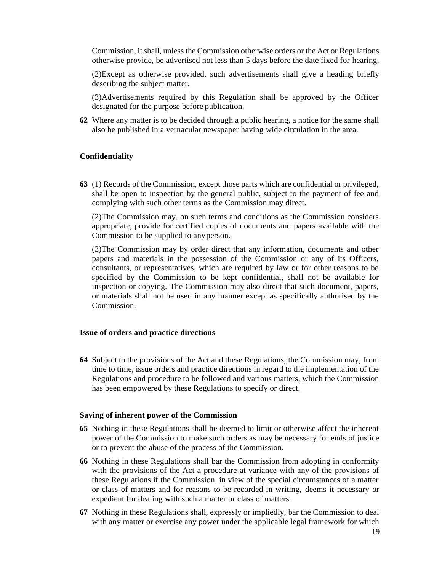Commission, itshall, unless the Commission otherwise orders or the Act or Regulations otherwise provide, be advertised not less than 5 days before the date fixed for hearing.

(2)Except as otherwise provided, such advertisements shall give a heading briefly describing the subject matter.

(3)Advertisements required by this Regulation shall be approved by the Officer designated for the purpose before publication.

**62** Where any matter is to be decided through a public hearing, a notice for the same shall also be published in a vernacular newspaper having wide circulation in the area.

### **Confidentiality**

**63** (1) Records of the Commission, except those parts which are confidential or privileged, shall be open to inspection by the general public, subject to the payment of fee and complying with such other terms as the Commission may direct.

(2)The Commission may, on such terms and conditions as the Commission considers appropriate, provide for certified copies of documents and papers available with the Commission to be supplied to anyperson.

(3)The Commission may by order direct that any information, documents and other papers and materials in the possession of the Commission or any of its Officers, consultants, or representatives, which are required by law or for other reasons to be specified by the Commission to be kept confidential, shall not be available for inspection or copying. The Commission may also direct that such document, papers, or materials shall not be used in any manner except as specifically authorised by the Commission.

# **Issue of orders and practice directions**

**64** Subject to the provisions of the Act and these Regulations, the Commission may, from time to time, issue orders and practice directions in regard to the implementation of the Regulations and procedure to be followed and various matters, which the Commission has been empowered by these Regulations to specify or direct.

#### **Saving of inherent power of the Commission**

- **65** Nothing in these Regulations shall be deemed to limit or otherwise affect the inherent power of the Commission to make such orders as may be necessary for ends of justice or to prevent the abuse of the process of the Commission.
- **66** Nothing in these Regulations shall bar the Commission from adopting in conformity with the provisions of the Act a procedure at variance with any of the provisions of these Regulations if the Commission, in view of the special circumstances of a matter or class of matters and for reasons to be recorded in writing, deems it necessary or expedient for dealing with such a matter or class of matters.
- **67** Nothing in these Regulations shall, expressly or impliedly, bar the Commission to deal with any matter or exercise any power under the applicable legal framework for which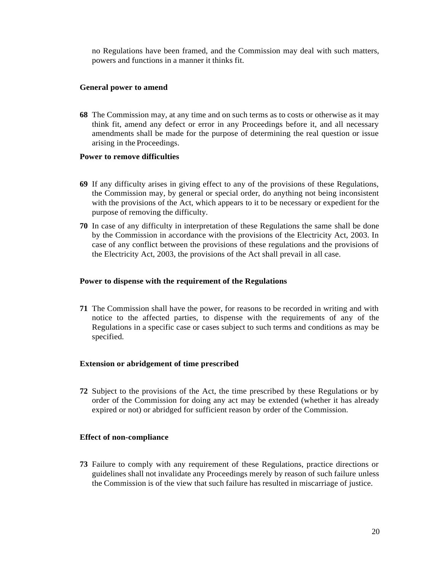no Regulations have been framed, and the Commission may deal with such matters, powers and functions in a manner it thinks fit.

### **General power to amend**

**68** The Commission may, at any time and on such terms as to costs or otherwise as it may think fit, amend any defect or error in any Proceedings before it, and all necessary amendments shall be made for the purpose of determining the real question or issue arising in the Proceedings.

### **Power to remove difficulties**

- **69** If any difficulty arises in giving effect to any of the provisions of these Regulations, the Commission may, by general or special order, do anything not being inconsistent with the provisions of the Act, which appears to it to be necessary or expedient for the purpose of removing the difficulty.
- **70** In case of any difficulty in interpretation of these Regulations the same shall be done by the Commission in accordance with the provisions of the Electricity Act, 2003. In case of any conflict between the provisions of these regulations and the provisions of the Electricity Act, 2003, the provisions of the Act shall prevail in all case.

## **Power to dispense with the requirement of the Regulations**

**71** The Commission shall have the power, for reasons to be recorded in writing and with notice to the affected parties, to dispense with the requirements of any of the Regulations in a specific case or cases subject to such terms and conditions as may be specified.

### **Extension or abridgement of time prescribed**

**72** Subject to the provisions of the Act, the time prescribed by these Regulations or by order of the Commission for doing any act may be extended (whether it has already expired or not) or abridged for sufficient reason by order of the Commission.

# **Effect of non-compliance**

**73** Failure to comply with any requirement of these Regulations, practice directions or guidelines shall not invalidate any Proceedings merely by reason of such failure unless the Commission is of the view that such failure has resulted in miscarriage of justice.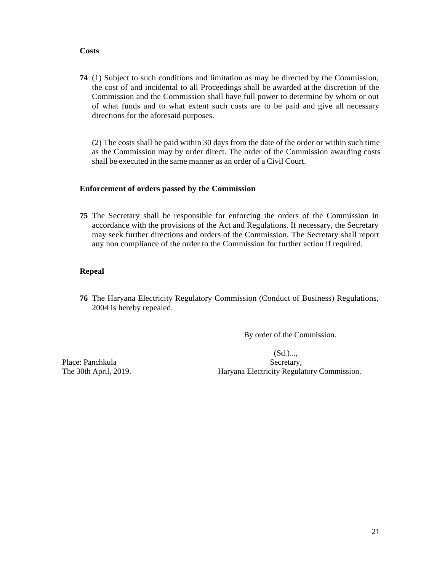### **Costs**

**74** (1) Subject to such conditions and limitation as may be directed by the Commission, the cost of and incidental to all Proceedings shall be awarded at the discretion of the Commission and the Commission shall have full power to determine by whom or out of what funds and to what extent such costs are to be paid and give all necessary directions for the aforesaid purposes.

(2) The costs shall be paid within 30 days from the date of the order or within such time as the Commission may by order direct. The order of the Commission awarding costs shall be executed in the same manner as an order of a Civil Court.

# **Enforcement of orders passed by the Commission**

**75** The Secretary shall be responsible for enforcing the orders of the Commission in accordance with the provisions of the Act and Regulations. If necessary, the Secretary may seek further directions and orders of the Commission. The Secretary shall report any non compliance of the order to the Commission for further action if required.

# **Repeal**

**76** The Haryana Electricity Regulatory Commission (Conduct of Business) Regulations, 2004 is hereby repealed.

By order of the Commission.

 (Sd.)..., Place: Panchkula Secretary, The 30th April, 2019. Haryana Electricity Regulatory Commission.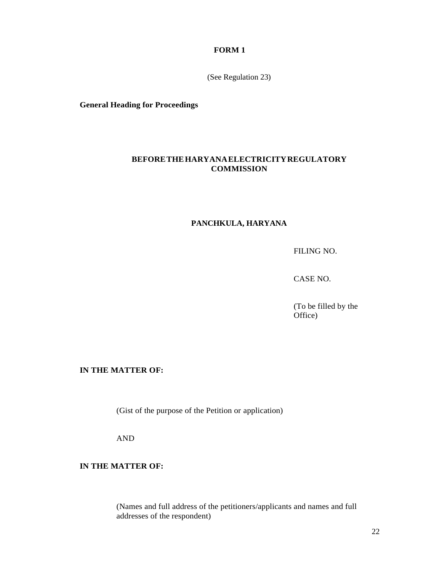### **FORM 1**

(See Regulation 23)

**General Heading for Proceedings**

# **BEFORETHEHARYANAELECTRICITYREGULATORY COMMISSION**

# **PANCHKULA, HARYANA**

FILING NO.

CASE NO.

(To be filled by the Office)

# **IN THE MATTER OF:**

(Gist of the purpose of the Petition or application)

AND

# **IN THE MATTER OF:**

(Names and full address of the petitioners/applicants and names and full addresses of the respondent)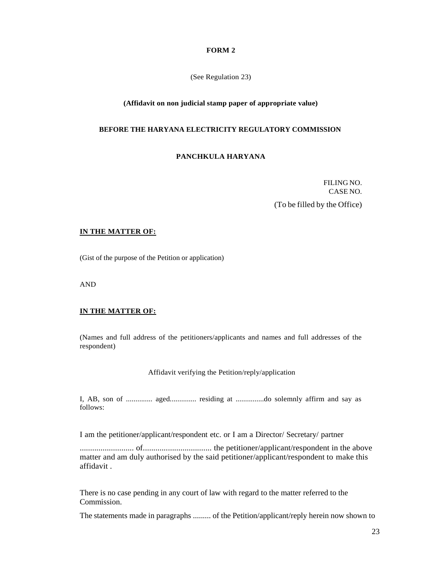#### **FORM 2**

(See Regulation 23)

### **(Affidavit on non judicial stamp paper of appropriate value)**

#### **BEFORE THE HARYANA ELECTRICITY REGULATORY COMMISSION**

### **PANCHKULA HARYANA**

FILING NO. CASE NO.

(To be filled by the Office)

#### **IN THE MATTER OF:**

(Gist of the purpose of the Petition or application)

AND

#### **IN THE MATTER OF:**

(Names and full address of the petitioners/applicants and names and full addresses of the respondent)

Affidavit verifying the Petition/reply/application

I, AB, son of .............. aged.............. residing at ...............do solemnly affirm and say as follows:

I am the petitioner/applicant/respondent etc. or I am a Director/ Secretary/ partner

.......................... of................................. the petitioner/applicant/respondent in the above matter and am duly authorised by the said petitioner/applicant/respondent to make this affidavit .

There is no case pending in any court of law with regard to the matter referred to the Commission.

The statements made in paragraphs ......... of the Petition/applicant/reply herein now shown to